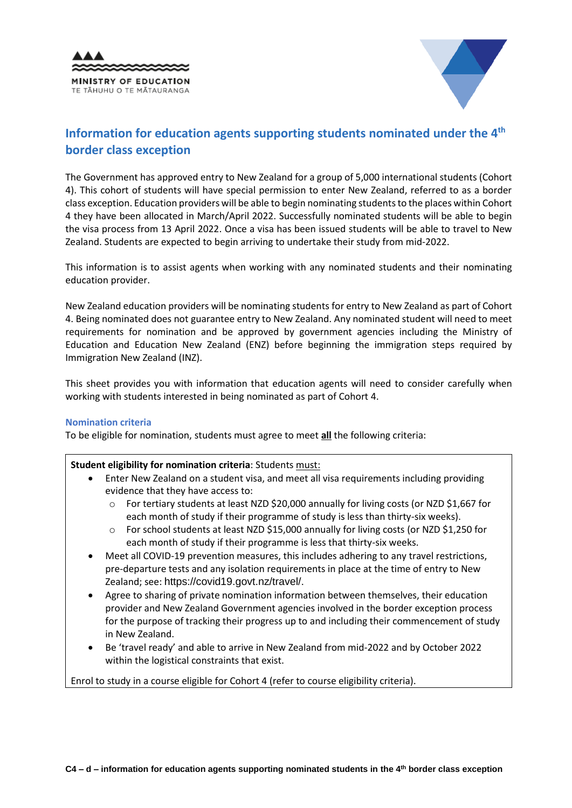



# Information for education agents supporting students nominated under the 4<sup>th</sup> **border class exception**

The Government has approved entry to New Zealand for a group of 5,000 international students (Cohort 4). This cohort of students will have special permission to enter New Zealand, referred to as a border class exception. Education providers will be able to begin nominating students to the places within Cohort 4 they have been allocated in March/April 2022. Successfully nominated students will be able to begin the visa process from 13 April 2022. Once a visa has been issued students will be able to travel to New Zealand. Students are expected to begin arriving to undertake their study from mid-2022.

This information is to assist agents when working with any nominated students and their nominating education provider.

New Zealand education providers will be nominating students for entry to New Zealand as part of Cohort 4. Being nominated does not guarantee entry to New Zealand. Any nominated student will need to meet requirements for nomination and be approved by government agencies including the Ministry of Education and Education New Zealand (ENZ) before beginning the immigration steps required by Immigration New Zealand (INZ).

This sheet provides you with information that education agents will need to consider carefully when working with students interested in being nominated as part of Cohort 4.

## **Nomination criteria**

To be eligible for nomination, students must agree to meet **all** the following criteria:

## **Student eligibility for nomination criteria**: Students must:

- Enter New Zealand on a student visa, and meet all visa requirements including providing evidence that they have access to:
	- $\circ$  For tertiary students at least NZD \$20,000 annually for living costs (or NZD \$1,667 for each month of study if their programme of study is less than thirty-six weeks).
	- o For school students at least NZD \$15,000 annually for living costs (or NZD \$1,250 for each month of study if their programme is less that thirty-six weeks.
- Meet all COVID-19 prevention measures, this includes adhering to any travel restrictions, pre-departure tests and any isolation requirements in place at the time of entry to New Zealand; see: [https://covid19.govt.nz/travel/.](https://covid19.govt.nz/travel/)
- Agree to sharing of private nomination information between themselves, their education provider and New Zealand Government agencies involved in the border exception process for the purpose of tracking their progress up to and including their commencement of study in New Zealand.
- Be 'travel ready' and able to arrive in New Zealand from mid-2022 and by October 2022 within the logistical constraints that exist.

Enrol to study in a course eligible for Cohort 4 (refer to course eligibility criteria).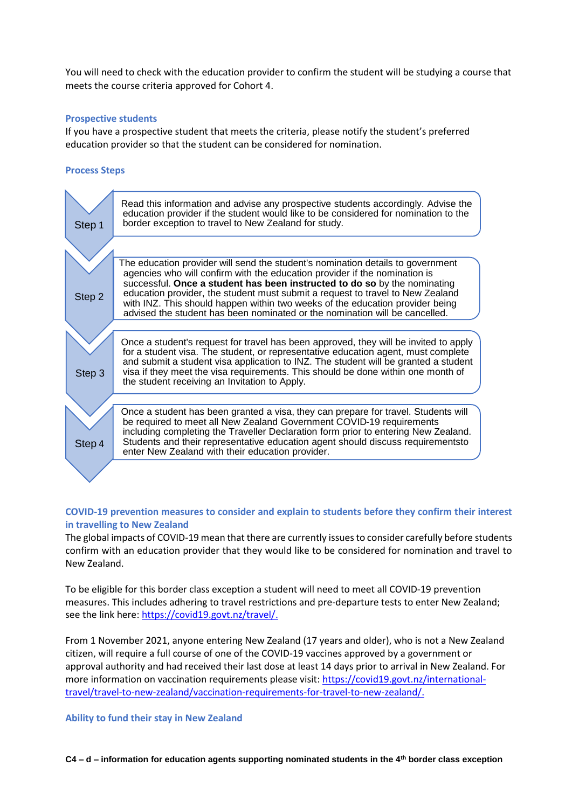You will need to check with the education provider to confirm the student will be studying a course that meets the course criteria approved for Cohort 4.

## **Prospective students**

If you have a prospective student that meets the criteria, please notify the student's preferred education provider so that the student can be considered for nomination.

## **Process Steps**



## **COVID-19 prevention measures to consider and explain to students before they confirm their interest in travelling to New Zealand**

The global impacts of COVID-19 mean that there are currently issues to consider carefully before students confirm with an education provider that they would like to be considered for nomination and travel to New Zealand.

To be eligible for this border class exception a student will need to meet all COVID-19 prevention measures. This includes adhering to travel restrictions and pre-departure tests to enter New Zealand; see the link here[: https://covid19.govt.nz/travel/.](https://covid19.govt.nz/travel/)

From 1 November 2021, anyone entering New Zealand (17 years and older), who is not a New Zealand citizen, will require a full course of one of the COVID-19 vaccines approved by a government or approval authority and had received their last dose at least 14 days prior to arrival in New Zealand. For more information on vaccination requirements please visit[: https://covid19.govt.nz/international](https://covid19.govt.nz/international-travel/travel-to-new-zealand/vaccination-requirements-for-travel-to-new-zealand/)[travel/travel-to-new-zealand/vaccination-requirements-for-travel-to-new-zealand/.](https://covid19.govt.nz/international-travel/travel-to-new-zealand/vaccination-requirements-for-travel-to-new-zealand/)

**Ability to fund their stay in New Zealand**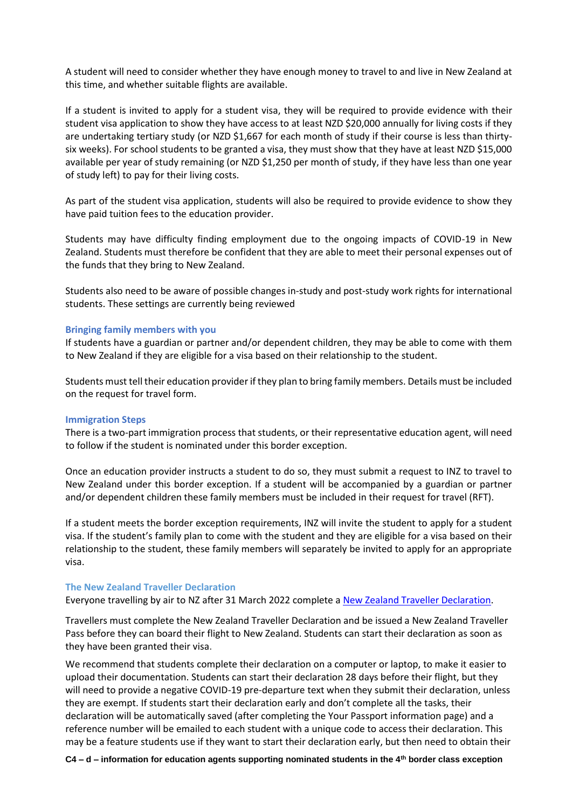A student will need to consider whether they have enough money to travel to and live in New Zealand at this time, and whether suitable flights are available.

If a student is invited to apply for a student visa, they will be required to provide evidence with their student visa application to show they have access to at least NZD \$20,000 annually for living costs if they are undertaking tertiary study (or NZD \$1,667 for each month of study if their course is less than thirtysix weeks). For school students to be granted a visa, they must show that they have at least NZD \$15,000 available per year of study remaining (or NZD \$1,250 per month of study, if they have less than one year of study left) to pay for their living costs.

As part of the student visa application, students will also be required to provide evidence to show they have paid tuition fees to the education provider.

Students may have difficulty finding employment due to the ongoing impacts of COVID-19 in New Zealand. Students must therefore be confident that they are able to meet their personal expenses out of the funds that they bring to New Zealand.

Students also need to be aware of possible changes in-study and post-study work rights for international students. These settings are currently being reviewed

#### **Bringing family members with you**

If students have a guardian or partner and/or dependent children, they may be able to come with them to New Zealand if they are eligible for a visa based on their relationship to the student.

Students must tell their education provider if they plan to bring family members. Details must be included on the request for travel form.

#### **Immigration Steps**

There is a two-part immigration process that students, or their representative education agent, will need to follow if the student is nominated under this border exception.

Once an education provider instructs a student to do so, they must submit a request to INZ to travel to New Zealand under this border exception. If a student will be accompanied by a guardian or partner and/or dependent children these family members must be included in their request for travel (RFT).

If a student meets the border exception requirements, INZ will invite the student to apply for a student visa. If the student's family plan to come with the student and they are eligible for a visa based on their relationship to the student, these family members will separately be invited to apply for an appropriate visa.

#### **The New Zealand Traveller Declaration**

Everyone travelling by air to NZ after 31 March 2022 complete a [New Zealand Traveller Declaration.](https://www.travellerdeclaration.govt.nz/)

Travellers must complete the New Zealand Traveller Declaration and be issued a New Zealand Traveller Pass before they can board their flight to New Zealand. Students can start their declaration as soon as they have been granted their visa.

We recommend that students complete their declaration on a computer or laptop, to make it easier to upload their documentation. Students can start their declaration 28 days before their flight, but they will need to provide a negative COVID-19 pre-departure text when they submit their declaration, unless they are exempt. If students start their declaration early and don't complete all the tasks, their declaration will be automatically saved (after completing the Your Passport information page) and a reference number will be emailed to each student with a unique code to access their declaration. This may be a feature students use if they want to start their declaration early, but then need to obtain their

**C4 – d – information for education agents supporting nominated students in the 4th border class exception**